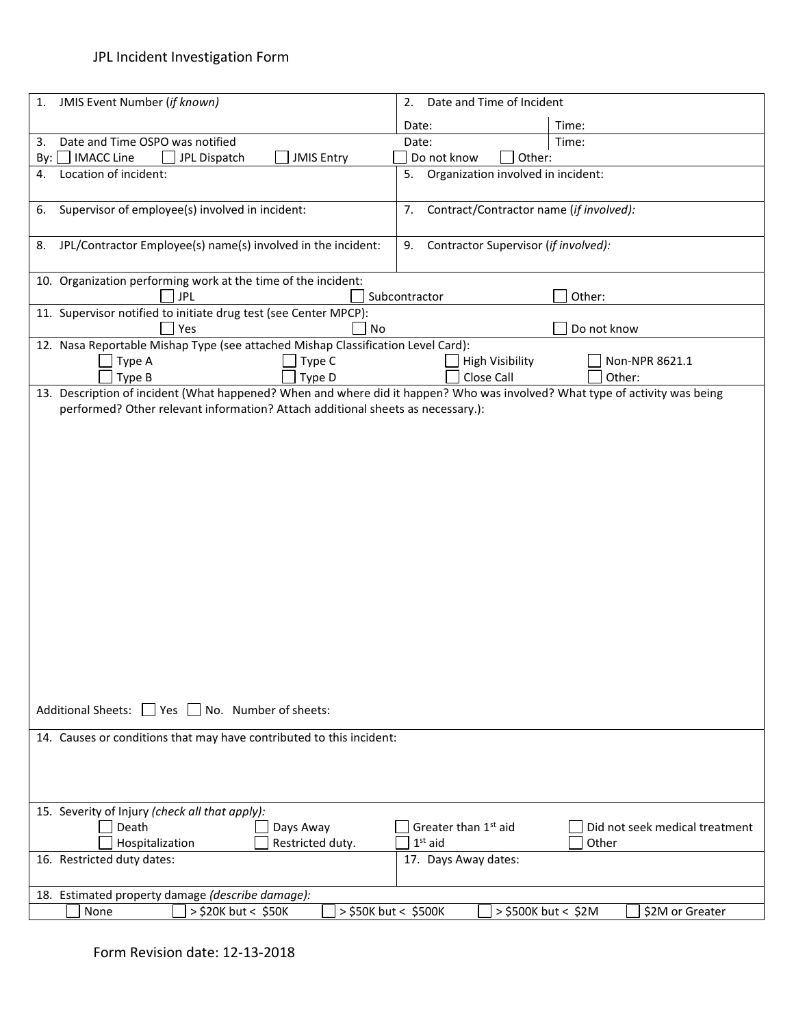## JPL Incident Investigation Form

| JMIS Event Number (if known)<br>1.                                                                                                              | Date and Time of Incident<br>2.                                    |
|-------------------------------------------------------------------------------------------------------------------------------------------------|--------------------------------------------------------------------|
|                                                                                                                                                 | Time:<br>Date:                                                     |
| Date and Time OSPO was notified<br>3.                                                                                                           | Date:<br>Time:                                                     |
| <b>IMACC Line</b><br>JPL Dispatch<br><b>JMIS Entry</b><br>By:                                                                                   | Do not know<br>Other:                                              |
| Location of incident:<br>4.                                                                                                                     | Organization involved in incident:<br>5.                           |
| Supervisor of employee(s) involved in incident:<br>6.                                                                                           | Contract/Contractor name (if involved):<br>7.                      |
| JPL/Contractor Employee(s) name(s) involved in the incident:<br>8.                                                                              | Contractor Supervisor (if involved):<br>9.                         |
| 10. Organization performing work at the time of the incident:<br><b>JPL</b>                                                                     | Other:<br>Subcontractor                                            |
| 11. Supervisor notified to initiate drug test (see Center MPCP):<br>Yes<br>No                                                                   | Do not know                                                        |
| 12. Nasa Reportable Mishap Type (see attached Mishap Classification Level Card):                                                                |                                                                    |
| Type C<br>Type A                                                                                                                                | <b>High Visibility</b><br>Non-NPR 8621.1                           |
| Type B<br>Type D<br>13. Description of incident (What happened? When and where did it happen? Who was involved? What type of activity was being | Close Call<br>Other:                                               |
| performed? Other relevant information? Attach additional sheets as necessary.):                                                                 |                                                                    |
|                                                                                                                                                 |                                                                    |
|                                                                                                                                                 |                                                                    |
|                                                                                                                                                 |                                                                    |
|                                                                                                                                                 |                                                                    |
|                                                                                                                                                 |                                                                    |
|                                                                                                                                                 |                                                                    |
|                                                                                                                                                 |                                                                    |
|                                                                                                                                                 |                                                                    |
|                                                                                                                                                 |                                                                    |
|                                                                                                                                                 |                                                                    |
|                                                                                                                                                 |                                                                    |
|                                                                                                                                                 |                                                                    |
|                                                                                                                                                 |                                                                    |
|                                                                                                                                                 |                                                                    |
|                                                                                                                                                 |                                                                    |
|                                                                                                                                                 |                                                                    |
|                                                                                                                                                 |                                                                    |
|                                                                                                                                                 |                                                                    |
| Additional Sheets: Ves No. Number of sheets:                                                                                                    |                                                                    |
| 14. Causes or conditions that may have contributed to this incident:                                                                            |                                                                    |
|                                                                                                                                                 |                                                                    |
|                                                                                                                                                 |                                                                    |
|                                                                                                                                                 |                                                                    |
| 15. Severity of Injury (check all that apply):                                                                                                  |                                                                    |
| Death<br>Days Away                                                                                                                              | Greater than 1 <sup>st</sup> aid<br>Did not seek medical treatment |
| Hospitalization<br>Restricted duty.                                                                                                             | $1st$ aid<br>Other                                                 |
| 16. Restricted duty dates:                                                                                                                      | 17. Days Away dates:                                               |
|                                                                                                                                                 |                                                                    |
| 18. Estimated property damage (describe damage):                                                                                                |                                                                    |
| > \$20K but < \$50K<br>> \$50K but < \$500K<br>None                                                                                             | > \$500K but < \$2M<br>\$2M or Greater                             |
|                                                                                                                                                 |                                                                    |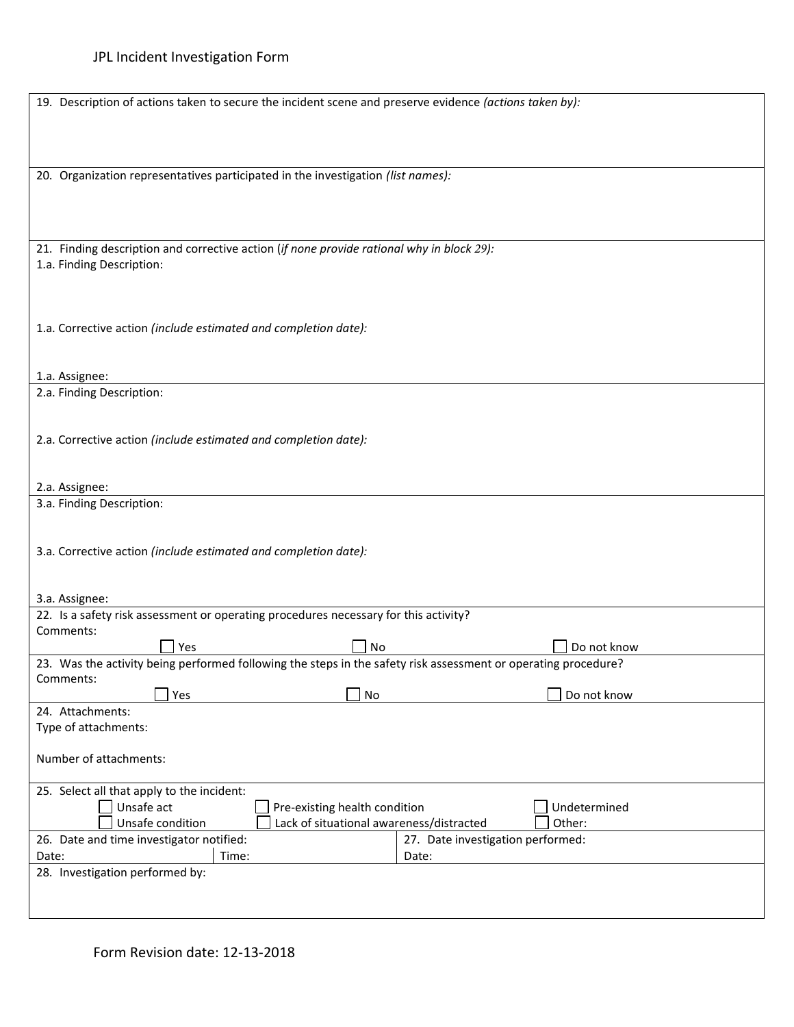| 19. Description of actions taken to secure the incident scene and preserve evidence (actions taken by):                |                                   |  |
|------------------------------------------------------------------------------------------------------------------------|-----------------------------------|--|
| 20. Organization representatives participated in the investigation (list names):                                       |                                   |  |
| 21. Finding description and corrective action (if none provide rational why in block 29):<br>1.a. Finding Description: |                                   |  |
| 1.a. Corrective action (include estimated and completion date):                                                        |                                   |  |
| 1.a. Assignee:<br>2.a. Finding Description:                                                                            |                                   |  |
| 2.a. Corrective action (include estimated and completion date):                                                        |                                   |  |
|                                                                                                                        |                                   |  |
| 2.a. Assignee:<br>3.a. Finding Description:                                                                            |                                   |  |
| 3.a. Corrective action (include estimated and completion date):                                                        |                                   |  |
| 3.a. Assignee:                                                                                                         |                                   |  |
| 22. Is a safety risk assessment or operating procedures necessary for this activity?                                   |                                   |  |
| Comments:<br>Yes<br>No                                                                                                 | Do not know                       |  |
| 23. Was the activity being performed following the steps in the safety risk assessment or operating procedure?         |                                   |  |
| Comments:                                                                                                              |                                   |  |
| No<br>Yes                                                                                                              | Do not know                       |  |
| 24. Attachments:<br>Type of attachments:                                                                               |                                   |  |
| Number of attachments:                                                                                                 |                                   |  |
| 25. Select all that apply to the incident:<br>Unsafe act<br>Undetermined                                               |                                   |  |
| Pre-existing health condition<br>Lack of situational awareness/distracted<br>Unsafe condition<br>Other:                |                                   |  |
| 26. Date and time investigator notified:                                                                               | 27. Date investigation performed: |  |
| Time:<br>Date:                                                                                                         | Date:                             |  |
| 28. Investigation performed by:                                                                                        |                                   |  |
|                                                                                                                        |                                   |  |